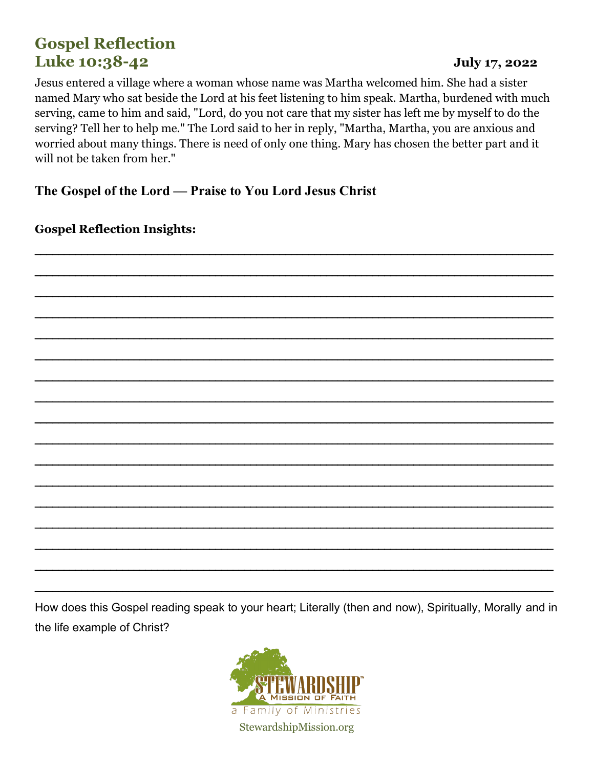# **Gospel Reflection** Luke 10:38-42

## **July 17, 2022**

Jesus entered a village where a woman whose name was Martha welcomed him. She had a sister named Mary who sat beside the Lord at his feet listening to him speak. Martha, burdened with much serving, came to him and said, "Lord, do you not care that my sister has left me by myself to do the serving? Tell her to help me." The Lord said to her in reply, "Martha, Martha, you are anxious and worried about many things. There is need of only one thing. Mary has chosen the better part and it will not be taken from her."

The Gospel of the Lord — Praise to You Lord Jesus Christ

**Gospel Reflection Insights:** 

How does this Gospel reading speak to your heart; Literally (then and now), Spiritually, Morally and in the life example of Christ?